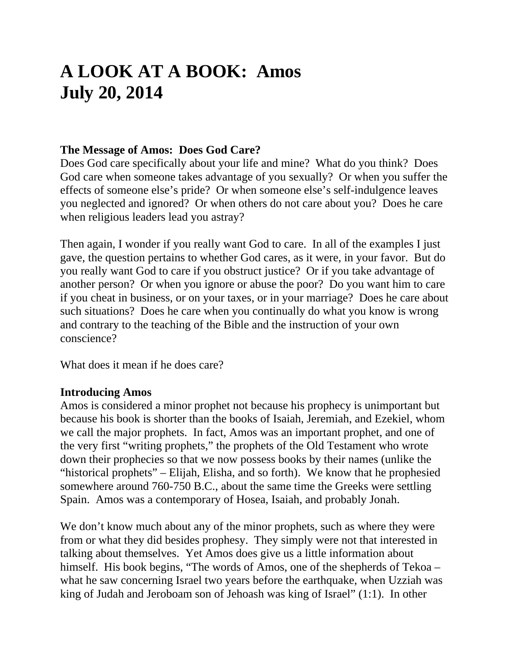# **A LOOK AT A BOOK: Amos July 20, 2014**

## **The Message of Amos: Does God Care?**

Does God care specifically about your life and mine? What do you think? Does God care when someone takes advantage of you sexually? Or when you suffer the effects of someone else's pride? Or when someone else's self-indulgence leaves you neglected and ignored? Or when others do not care about you? Does he care when religious leaders lead you astray?

Then again, I wonder if you really want God to care. In all of the examples I just gave, the question pertains to whether God cares, as it were, in your favor. But do you really want God to care if you obstruct justice? Or if you take advantage of another person? Or when you ignore or abuse the poor? Do you want him to care if you cheat in business, or on your taxes, or in your marriage? Does he care about such situations? Does he care when you continually do what you know is wrong and contrary to the teaching of the Bible and the instruction of your own conscience?

What does it mean if he does care?

#### **Introducing Amos**

Amos is considered a minor prophet not because his prophecy is unimportant but because his book is shorter than the books of Isaiah, Jeremiah, and Ezekiel, whom we call the major prophets. In fact, Amos was an important prophet, and one of the very first "writing prophets," the prophets of the Old Testament who wrote down their prophecies so that we now possess books by their names (unlike the "historical prophets" – Elijah, Elisha, and so forth). We know that he prophesied somewhere around 760-750 B.C., about the same time the Greeks were settling Spain. Amos was a contemporary of Hosea, Isaiah, and probably Jonah.

We don't know much about any of the minor prophets, such as where they were from or what they did besides prophesy. They simply were not that interested in talking about themselves. Yet Amos does give us a little information about himself. His book begins, "The words of Amos, one of the shepherds of Tekoa – what he saw concerning Israel two years before the earthquake, when Uzziah was king of Judah and Jeroboam son of Jehoash was king of Israel" (1:1). In other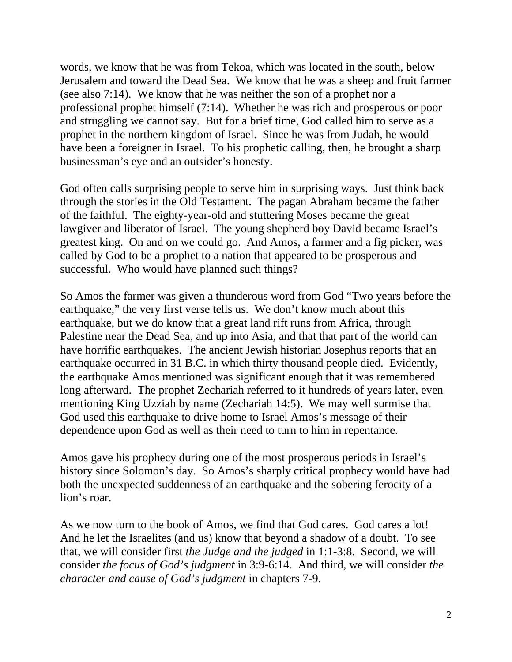words, we know that he was from Tekoa, which was located in the south, below Jerusalem and toward the Dead Sea. We know that he was a sheep and fruit farmer (see also 7:14). We know that he was neither the son of a prophet nor a professional prophet himself (7:14). Whether he was rich and prosperous or poor and struggling we cannot say. But for a brief time, God called him to serve as a prophet in the northern kingdom of Israel. Since he was from Judah, he would have been a foreigner in Israel. To his prophetic calling, then, he brought a sharp businessman's eye and an outsider's honesty.

God often calls surprising people to serve him in surprising ways. Just think back through the stories in the Old Testament. The pagan Abraham became the father of the faithful. The eighty-year-old and stuttering Moses became the great lawgiver and liberator of Israel. The young shepherd boy David became Israel's greatest king. On and on we could go. And Amos, a farmer and a fig picker, was called by God to be a prophet to a nation that appeared to be prosperous and successful. Who would have planned such things?

So Amos the farmer was given a thunderous word from God "Two years before the earthquake," the very first verse tells us. We don't know much about this earthquake, but we do know that a great land rift runs from Africa, through Palestine near the Dead Sea, and up into Asia, and that that part of the world can have horrific earthquakes. The ancient Jewish historian Josephus reports that an earthquake occurred in 31 B.C. in which thirty thousand people died. Evidently, the earthquake Amos mentioned was significant enough that it was remembered long afterward. The prophet Zechariah referred to it hundreds of years later, even mentioning King Uzziah by name (Zechariah 14:5). We may well surmise that God used this earthquake to drive home to Israel Amos's message of their dependence upon God as well as their need to turn to him in repentance.

Amos gave his prophecy during one of the most prosperous periods in Israel's history since Solomon's day. So Amos's sharply critical prophecy would have had both the unexpected suddenness of an earthquake and the sobering ferocity of a lion's roar.

As we now turn to the book of Amos, we find that God cares. God cares a lot! And he let the Israelites (and us) know that beyond a shadow of a doubt. To see that, we will consider first *the Judge and the judged* in 1:1-3:8. Second, we will consider *the focus of God's judgment* in 3:9-6:14. And third, we will consider *the character and cause of God's judgment* in chapters 7-9.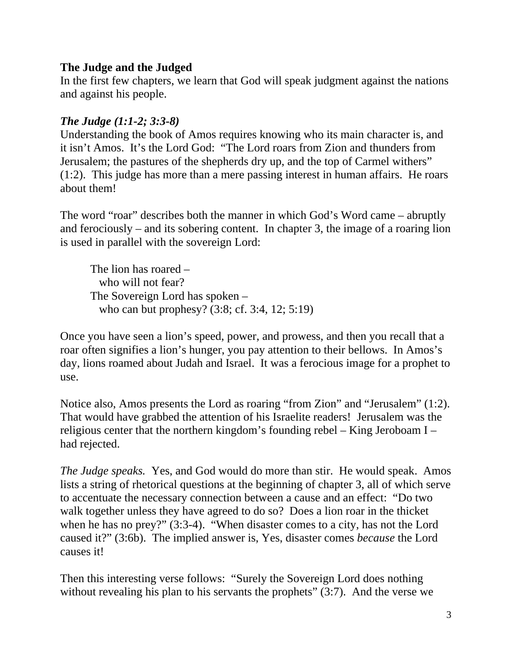## **The Judge and the Judged**

In the first few chapters, we learn that God will speak judgment against the nations and against his people.

## *The Judge (1:1-2; 3:3-8)*

Understanding the book of Amos requires knowing who its main character is, and it isn't Amos. It's the Lord God: "The Lord roars from Zion and thunders from Jerusalem; the pastures of the shepherds dry up, and the top of Carmel withers" (1:2). This judge has more than a mere passing interest in human affairs. He roars about them!

The word "roar" describes both the manner in which God's Word came – abruptly and ferociously – and its sobering content. In chapter 3, the image of a roaring lion is used in parallel with the sovereign Lord:

 The lion has roared – who will not fear? The Sovereign Lord has spoken – who can but prophesy? (3:8; cf. 3:4, 12; 5:19)

Once you have seen a lion's speed, power, and prowess, and then you recall that a roar often signifies a lion's hunger, you pay attention to their bellows. In Amos's day, lions roamed about Judah and Israel. It was a ferocious image for a prophet to use.

Notice also, Amos presents the Lord as roaring "from Zion" and "Jerusalem" (1:2). That would have grabbed the attention of his Israelite readers! Jerusalem was the religious center that the northern kingdom's founding rebel – King Jeroboam I – had rejected.

*The Judge speaks.* Yes, and God would do more than stir. He would speak. Amos lists a string of rhetorical questions at the beginning of chapter 3, all of which serve to accentuate the necessary connection between a cause and an effect: "Do two walk together unless they have agreed to do so? Does a lion roar in the thicket when he has no prey?" (3:3-4). "When disaster comes to a city, has not the Lord caused it?" (3:6b). The implied answer is, Yes, disaster comes *because* the Lord causes it!

Then this interesting verse follows: "Surely the Sovereign Lord does nothing without revealing his plan to his servants the prophets" (3:7). And the verse we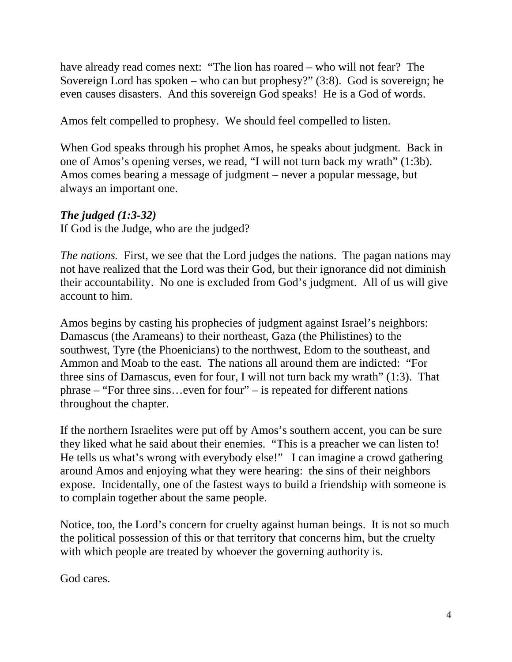have already read comes next: "The lion has roared – who will not fear? The Sovereign Lord has spoken – who can but prophesy?" (3:8). God is sovereign; he even causes disasters. And this sovereign God speaks! He is a God of words.

Amos felt compelled to prophesy. We should feel compelled to listen.

When God speaks through his prophet Amos, he speaks about judgment. Back in one of Amos's opening verses, we read, "I will not turn back my wrath" (1:3b). Amos comes bearing a message of judgment – never a popular message, but always an important one.

## *The judged (1:3-32)*

If God is the Judge, who are the judged?

*The nations.* First, we see that the Lord judges the nations. The pagan nations may not have realized that the Lord was their God, but their ignorance did not diminish their accountability. No one is excluded from God's judgment. All of us will give account to him.

Amos begins by casting his prophecies of judgment against Israel's neighbors: Damascus (the Arameans) to their northeast, Gaza (the Philistines) to the southwest, Tyre (the Phoenicians) to the northwest, Edom to the southeast, and Ammon and Moab to the east. The nations all around them are indicted: "For three sins of Damascus, even for four, I will not turn back my wrath" (1:3). That phrase – "For three sins…even for four" – is repeated for different nations throughout the chapter.

If the northern Israelites were put off by Amos's southern accent, you can be sure they liked what he said about their enemies. "This is a preacher we can listen to! He tells us what's wrong with everybody else!" I can imagine a crowd gathering around Amos and enjoying what they were hearing: the sins of their neighbors expose. Incidentally, one of the fastest ways to build a friendship with someone is to complain together about the same people.

Notice, too, the Lord's concern for cruelty against human beings. It is not so much the political possession of this or that territory that concerns him, but the cruelty with which people are treated by whoever the governing authority is.

God cares.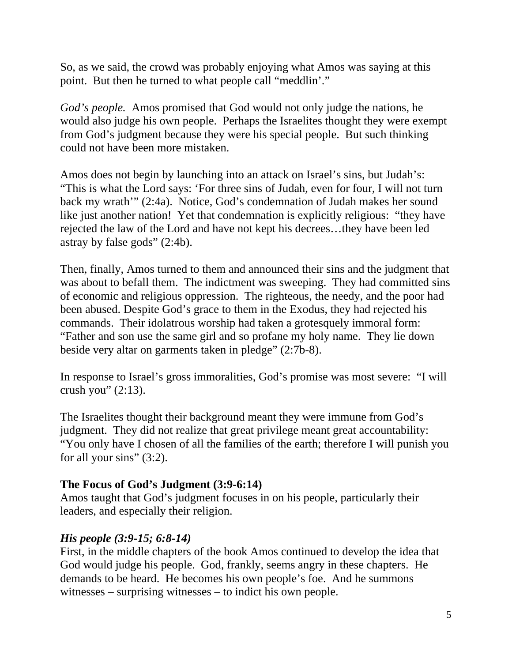So, as we said, the crowd was probably enjoying what Amos was saying at this point. But then he turned to what people call "meddlin'."

*God's people.* Amos promised that God would not only judge the nations, he would also judge his own people. Perhaps the Israelites thought they were exempt from God's judgment because they were his special people. But such thinking could not have been more mistaken.

Amos does not begin by launching into an attack on Israel's sins, but Judah's: "This is what the Lord says: 'For three sins of Judah, even for four, I will not turn back my wrath'" (2:4a). Notice, God's condemnation of Judah makes her sound like just another nation! Yet that condemnation is explicitly religious: "they have rejected the law of the Lord and have not kept his decrees…they have been led astray by false gods" (2:4b).

Then, finally, Amos turned to them and announced their sins and the judgment that was about to befall them. The indictment was sweeping. They had committed sins of economic and religious oppression. The righteous, the needy, and the poor had been abused. Despite God's grace to them in the Exodus, they had rejected his commands. Their idolatrous worship had taken a grotesquely immoral form: "Father and son use the same girl and so profane my holy name. They lie down beside very altar on garments taken in pledge" (2:7b-8).

In response to Israel's gross immoralities, God's promise was most severe: "I will crush you" (2:13).

The Israelites thought their background meant they were immune from God's judgment. They did not realize that great privilege meant great accountability: "You only have I chosen of all the families of the earth; therefore I will punish you for all your sins"  $(3:2)$ .

## **The Focus of God's Judgment (3:9-6:14)**

Amos taught that God's judgment focuses in on his people, particularly their leaders, and especially their religion.

## *His people (3:9-15; 6:8-14)*

First, in the middle chapters of the book Amos continued to develop the idea that God would judge his people. God, frankly, seems angry in these chapters. He demands to be heard. He becomes his own people's foe. And he summons witnesses – surprising witnesses – to indict his own people.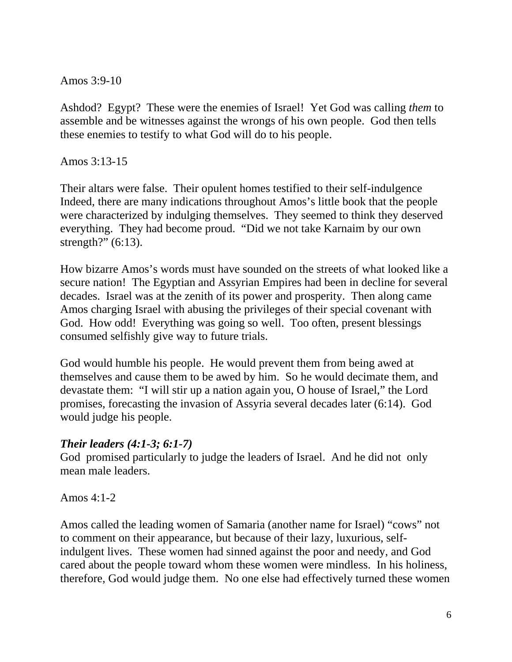#### Amos 3:9-10

Ashdod? Egypt? These were the enemies of Israel! Yet God was calling *them* to assemble and be witnesses against the wrongs of his own people. God then tells these enemies to testify to what God will do to his people.

Amos 3:13-15

Their altars were false. Their opulent homes testified to their self-indulgence Indeed, there are many indications throughout Amos's little book that the people were characterized by indulging themselves. They seemed to think they deserved everything. They had become proud. "Did we not take Karnaim by our own strength?" (6:13).

How bizarre Amos's words must have sounded on the streets of what looked like a secure nation! The Egyptian and Assyrian Empires had been in decline for several decades. Israel was at the zenith of its power and prosperity. Then along came Amos charging Israel with abusing the privileges of their special covenant with God. How odd! Everything was going so well. Too often, present blessings consumed selfishly give way to future trials.

God would humble his people. He would prevent them from being awed at themselves and cause them to be awed by him. So he would decimate them, and devastate them: "I will stir up a nation again you, O house of Israel," the Lord promises, forecasting the invasion of Assyria several decades later (6:14). God would judge his people.

## *Their leaders (4:1-3; 6:1-7)*

God promised particularly to judge the leaders of Israel. And he did not only mean male leaders.

Amos 4:1-2

Amos called the leading women of Samaria (another name for Israel) "cows" not to comment on their appearance, but because of their lazy, luxurious, selfindulgent lives. These women had sinned against the poor and needy, and God cared about the people toward whom these women were mindless. In his holiness, therefore, God would judge them. No one else had effectively turned these women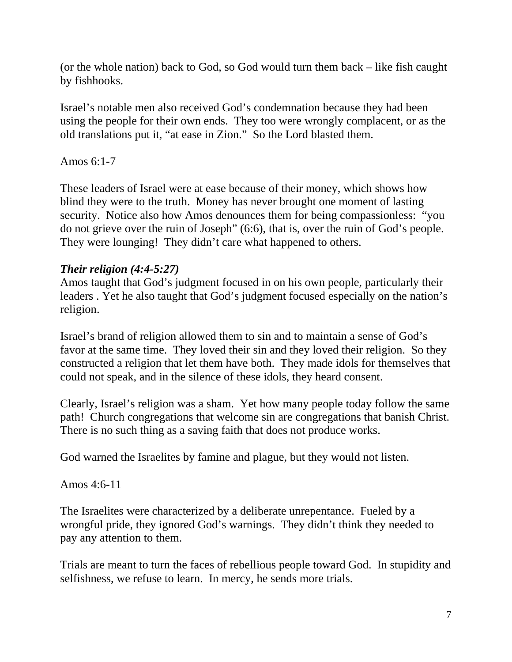(or the whole nation) back to God, so God would turn them back – like fish caught by fishhooks.

Israel's notable men also received God's condemnation because they had been using the people for their own ends. They too were wrongly complacent, or as the old translations put it, "at ease in Zion." So the Lord blasted them.

Amos 6:1-7

These leaders of Israel were at ease because of their money, which shows how blind they were to the truth. Money has never brought one moment of lasting security. Notice also how Amos denounces them for being compassionless: "you do not grieve over the ruin of Joseph" (6:6), that is, over the ruin of God's people. They were lounging! They didn't care what happened to others.

## *Their religion (4:4-5:27)*

Amos taught that God's judgment focused in on his own people, particularly their leaders . Yet he also taught that God's judgment focused especially on the nation's religion.

Israel's brand of religion allowed them to sin and to maintain a sense of God's favor at the same time. They loved their sin and they loved their religion. So they constructed a religion that let them have both. They made idols for themselves that could not speak, and in the silence of these idols, they heard consent.

Clearly, Israel's religion was a sham. Yet how many people today follow the same path! Church congregations that welcome sin are congregations that banish Christ. There is no such thing as a saving faith that does not produce works.

God warned the Israelites by famine and plague, but they would not listen.

Amos 4:6-11

The Israelites were characterized by a deliberate unrepentance. Fueled by a wrongful pride, they ignored God's warnings. They didn't think they needed to pay any attention to them.

Trials are meant to turn the faces of rebellious people toward God. In stupidity and selfishness, we refuse to learn. In mercy, he sends more trials.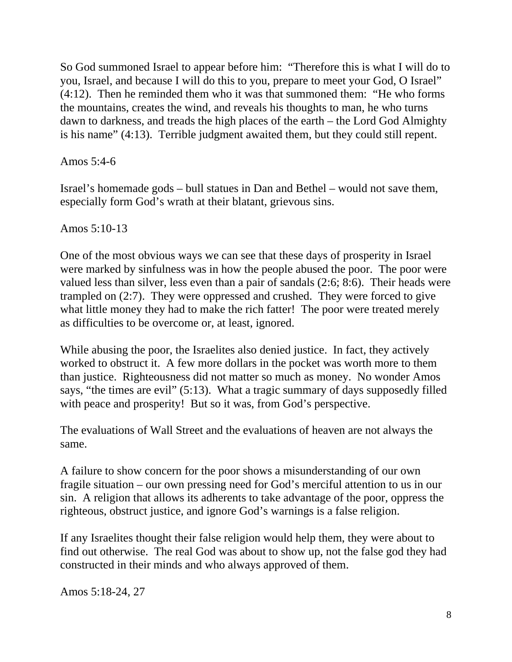So God summoned Israel to appear before him: "Therefore this is what I will do to you, Israel, and because I will do this to you, prepare to meet your God, O Israel" (4:12). Then he reminded them who it was that summoned them: "He who forms the mountains, creates the wind, and reveals his thoughts to man, he who turns dawn to darkness, and treads the high places of the earth – the Lord God Almighty is his name" (4:13). Terrible judgment awaited them, but they could still repent.

Amos 5:4-6

Israel's homemade gods – bull statues in Dan and Bethel – would not save them, especially form God's wrath at their blatant, grievous sins.

Amos 5:10-13

One of the most obvious ways we can see that these days of prosperity in Israel were marked by sinfulness was in how the people abused the poor. The poor were valued less than silver, less even than a pair of sandals (2:6; 8:6). Their heads were trampled on (2:7). They were oppressed and crushed. They were forced to give what little money they had to make the rich fatter! The poor were treated merely as difficulties to be overcome or, at least, ignored.

While abusing the poor, the Israelites also denied justice. In fact, they actively worked to obstruct it. A few more dollars in the pocket was worth more to them than justice. Righteousness did not matter so much as money. No wonder Amos says, "the times are evil" (5:13). What a tragic summary of days supposedly filled with peace and prosperity! But so it was, from God's perspective.

The evaluations of Wall Street and the evaluations of heaven are not always the same.

A failure to show concern for the poor shows a misunderstanding of our own fragile situation – our own pressing need for God's merciful attention to us in our sin. A religion that allows its adherents to take advantage of the poor, oppress the righteous, obstruct justice, and ignore God's warnings is a false religion.

If any Israelites thought their false religion would help them, they were about to find out otherwise. The real God was about to show up, not the false god they had constructed in their minds and who always approved of them.

Amos 5:18-24, 27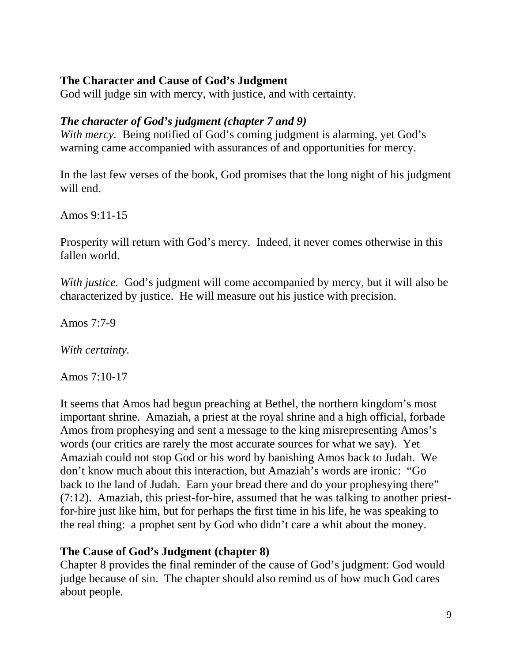### **The Character and Cause of God's Judgment**

God will judge sin with mercy, with justice, and with certainty.

### *The character of God's judgment (chapter 7 and 9)*

*With mercy.* Being notified of God's coming judgment is alarming, yet God's warning came accompanied with assurances of and opportunities for mercy.

In the last few verses of the book, God promises that the long night of his judgment will end.

Amos 9:11-15

Prosperity will return with God's mercy. Indeed, it never comes otherwise in this fallen world.

*With justice.* God's judgment will come accompanied by mercy, but it will also be characterized by justice. He will measure out his justice with precision.

Amos 7:7-9

*With certainty.* 

Amos 7:10-17

It seems that Amos had begun preaching at Bethel, the northern kingdom's most important shrine. Amaziah, a priest at the royal shrine and a high official, forbade Amos from prophesying and sent a message to the king misrepresenting Amos's words (our critics are rarely the most accurate sources for what we say). Yet Amaziah could not stop God or his word by banishing Amos back to Judah. We don't know much about this interaction, but Amaziah's words are ironic: "Go back to the land of Judah. Earn your bread there and do your prophesying there" (7:12). Amaziah, this priest-for-hire, assumed that he was talking to another priestfor-hire just like him, but for perhaps the first time in his life, he was speaking to the real thing: a prophet sent by God who didn't care a whit about the money.

## **The Cause of God's Judgment (chapter 8)**

Chapter 8 provides the final reminder of the cause of God's judgment: God would judge because of sin. The chapter should also remind us of how much God cares about people.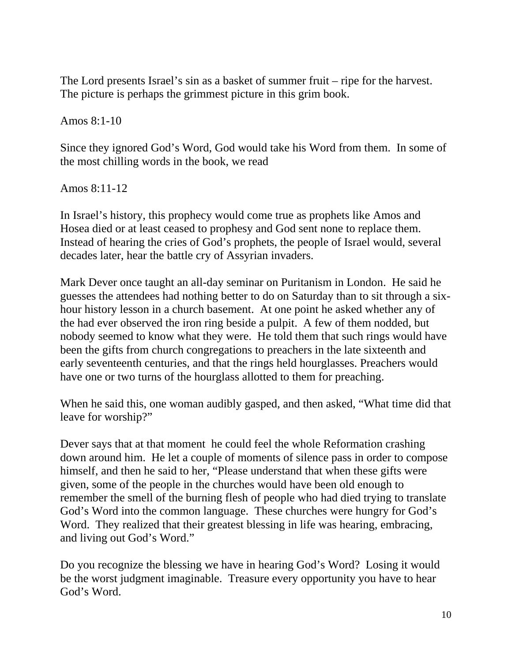The Lord presents Israel's sin as a basket of summer fruit – ripe for the harvest. The picture is perhaps the grimmest picture in this grim book.

Amos 8:1-10

Since they ignored God's Word, God would take his Word from them. In some of the most chilling words in the book, we read

Amos 8:11-12

In Israel's history, this prophecy would come true as prophets like Amos and Hosea died or at least ceased to prophesy and God sent none to replace them. Instead of hearing the cries of God's prophets, the people of Israel would, several decades later, hear the battle cry of Assyrian invaders.

Mark Dever once taught an all-day seminar on Puritanism in London. He said he guesses the attendees had nothing better to do on Saturday than to sit through a sixhour history lesson in a church basement. At one point he asked whether any of the had ever observed the iron ring beside a pulpit. A few of them nodded, but nobody seemed to know what they were. He told them that such rings would have been the gifts from church congregations to preachers in the late sixteenth and early seventeenth centuries, and that the rings held hourglasses. Preachers would have one or two turns of the hourglass allotted to them for preaching.

When he said this, one woman audibly gasped, and then asked, "What time did that leave for worship?"

Dever says that at that moment he could feel the whole Reformation crashing down around him. He let a couple of moments of silence pass in order to compose himself, and then he said to her, "Please understand that when these gifts were given, some of the people in the churches would have been old enough to remember the smell of the burning flesh of people who had died trying to translate God's Word into the common language. These churches were hungry for God's Word. They realized that their greatest blessing in life was hearing, embracing, and living out God's Word."

Do you recognize the blessing we have in hearing God's Word? Losing it would be the worst judgment imaginable. Treasure every opportunity you have to hear God's Word.